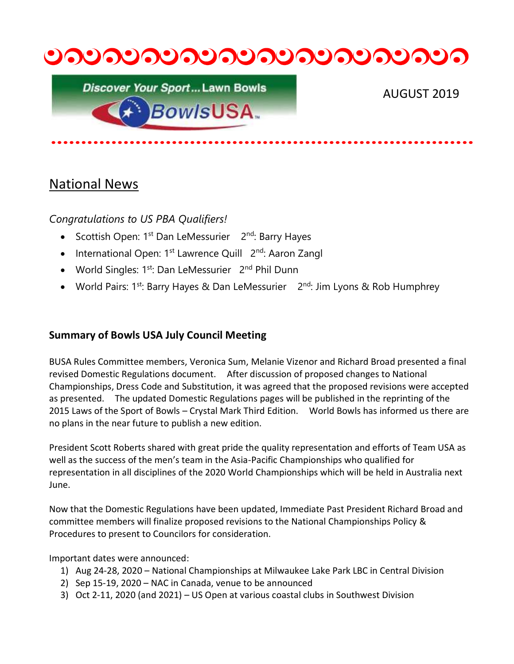

**Discover Your Sport... Lawn Bowls BowlsUSA.** 

AUGUST 2019

# National News

*Congratulations to US PBA Qualifiers!*

- Scottish Open: 1<sup>st</sup> Dan LeMessurier 2<sup>nd</sup>: Barry Hayes
- International Open: 1<sup>st</sup> Lawrence Quill 2<sup>nd</sup>: Aaron Zangl
- World Singles: 1<sup>st</sup>: Dan LeMessurier 2<sup>nd</sup> Phil Dunn
- World Pairs: 1<sup>st</sup>: Barry Hayes & Dan LeMessurier 2<sup>nd</sup>: Jim Lyons & Rob Humphrey

### **Summary of Bowls USA July Council Meeting**

BUSA Rules Committee members, Veronica Sum, Melanie Vizenor and Richard Broad presented a final revised Domestic Regulations document. After discussion of proposed changes to National Championships, Dress Code and Substitution, it was agreed that the proposed revisions were accepted as presented. The updated Domestic Regulations pages will be published in the reprinting of the 2015 Laws of the Sport of Bowls – Crystal Mark Third Edition. World Bowls has informed us there are no plans in the near future to publish a new edition.

President Scott Roberts shared with great pride the quality representation and efforts of Team USA as well as the success of the men's team in the Asia-Pacific Championships who qualified for representation in all disciplines of the 2020 World Championships which will be held in Australia next June.

Now that the Domestic Regulations have been updated, Immediate Past President Richard Broad and committee members will finalize proposed revisions to the National Championships Policy & Procedures to present to Councilors for consideration.

Important dates were announced:

- 1) Aug 24-28, 2020 National Championships at Milwaukee Lake Park LBC in Central Division
- 2) Sep 15-19, 2020 NAC in Canada, venue to be announced
- 3) Oct 2-11, 2020 (and 2021) US Open at various coastal clubs in Southwest Division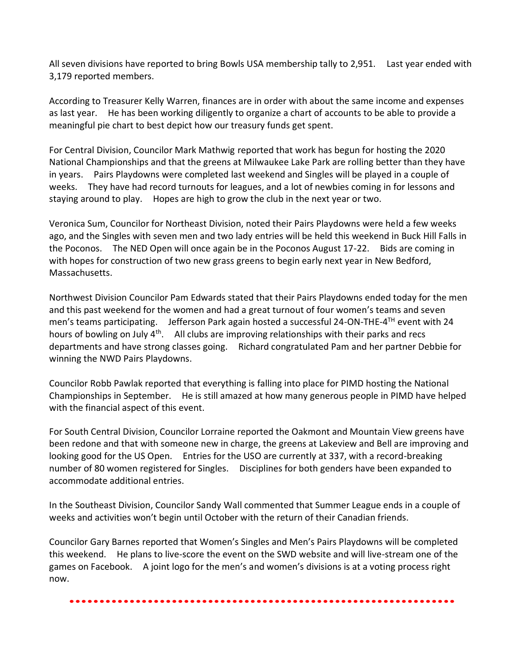All seven divisions have reported to bring Bowls USA membership tally to 2,951. Last year ended with 3,179 reported members.

According to Treasurer Kelly Warren, finances are in order with about the same income and expenses as last year. He has been working diligently to organize a chart of accounts to be able to provide a meaningful pie chart to best depict how our treasury funds get spent.

For Central Division, Councilor Mark Mathwig reported that work has begun for hosting the 2020 National Championships and that the greens at Milwaukee Lake Park are rolling better than they have in years. Pairs Playdowns were completed last weekend and Singles will be played in a couple of weeks. They have had record turnouts for leagues, and a lot of newbies coming in for lessons and staying around to play. Hopes are high to grow the club in the next year or two.

Veronica Sum, Councilor for Northeast Division, noted their Pairs Playdowns were held a few weeks ago, and the Singles with seven men and two lady entries will be held this weekend in Buck Hill Falls in the Poconos. The NED Open will once again be in the Poconos August 17-22. Bids are coming in with hopes for construction of two new grass greens to begin early next year in New Bedford, Massachusetts.

Northwest Division Councilor Pam Edwards stated that their Pairs Playdowns ended today for the men and this past weekend for the women and had a great turnout of four women's teams and seven men's teams participating. Jefferson Park again hosted a successful 24-ON-THE-4<sup>TH</sup> event with 24 hours of bowling on July  $4<sup>th</sup>$ . All clubs are improving relationships with their parks and recs departments and have strong classes going. Richard congratulated Pam and her partner Debbie for winning the NWD Pairs Playdowns.

Councilor Robb Pawlak reported that everything is falling into place for PIMD hosting the National Championships in September. He is still amazed at how many generous people in PIMD have helped with the financial aspect of this event.

For South Central Division, Councilor Lorraine reported the Oakmont and Mountain View greens have been redone and that with someone new in charge, the greens at Lakeview and Bell are improving and looking good for the US Open. Entries for the USO are currently at 337, with a record-breaking number of 80 women registered for Singles. Disciplines for both genders have been expanded to accommodate additional entries.

In the Southeast Division, Councilor Sandy Wall commented that Summer League ends in a couple of weeks and activities won't begin until October with the return of their Canadian friends.

Councilor Gary Barnes reported that Women's Singles and Men's Pairs Playdowns will be completed this weekend. He plans to live-score the event on the SWD website and will live-stream one of the games on Facebook. A joint logo for the men's and women's divisions is at a voting process right now.

#### ••••••••••••••••••••••••••••••••••••••••••••••••••••••••••••••••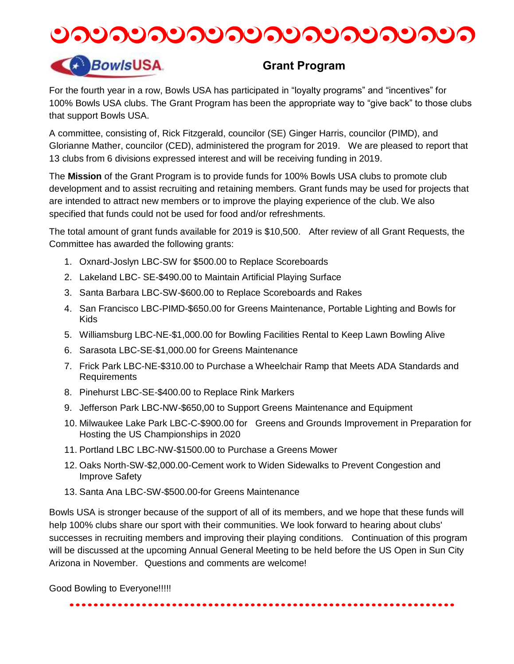



### **Grant Program**

For the fourth year in a row, Bowls USA has participated in "loyalty programs" and "incentives" for 100% Bowls USA clubs. The Grant Program has been the appropriate way to "give back" to those clubs that support Bowls USA.

A committee, consisting of, Rick Fitzgerald, councilor (SE) Ginger Harris, councilor (PIMD), and Glorianne Mather, councilor (CED), administered the program for 2019. We are pleased to report that 13 clubs from 6 divisions expressed interest and will be receiving funding in 2019.

The **Mission** of the Grant Program is to provide funds for 100% Bowls USA clubs to promote club development and to assist recruiting and retaining members. Grant funds may be used for projects that are intended to attract new members or to improve the playing experience of the club. We also specified that funds could not be used for food and/or refreshments.

The total amount of grant funds available for 2019 is \$10,500. After review of all Grant Requests, the Committee has awarded the following grants:

- 1. Oxnard-Joslyn LBC-SW for \$500.00 to Replace Scoreboards
- 2. Lakeland LBC- SE-\$490.00 to Maintain Artificial Playing Surface
- 3. Santa Barbara LBC-SW-\$600.00 to Replace Scoreboards and Rakes
- 4. San Francisco LBC-PIMD-\$650.00 for Greens Maintenance, Portable Lighting and Bowls for Kids
- 5. Williamsburg LBC-NE-\$1,000.00 for Bowling Facilities Rental to Keep Lawn Bowling Alive
- 6. Sarasota LBC-SE-\$1,000.00 for Greens Maintenance
- 7. Frick Park LBC-NE-\$310.00 to Purchase a Wheelchair Ramp that Meets ADA Standards and Requirements
- 8. Pinehurst LBC-SE-\$400.00 to Replace Rink Markers
- 9. Jefferson Park LBC-NW-\$650,00 to Support Greens Maintenance and Equipment
- 10. Milwaukee Lake Park LBC-C-\$900.00 for Greens and Grounds Improvement in Preparation for Hosting the US Championships in 2020
- 11. Portland LBC LBC-NW-\$1500.00 to Purchase a Greens Mower
- 12. Oaks North-SW-\$2,000.00-Cement work to Widen Sidewalks to Prevent Congestion and Improve Safety
- 13. Santa Ana LBC-SW-\$500.00-for Greens Maintenance

Bowls USA is stronger because of the support of all of its members, and we hope that these funds will help 100% clubs share our sport with their communities. We look forward to hearing about clubs' successes in recruiting members and improving their playing conditions. Continuation of this program will be discussed at the upcoming Annual General Meeting to be held before the US Open in Sun City Arizona in November. Questions and comments are welcome!

Good Bowling to Everyone!!!!!

••••••••••••••••••••••••••••••••••••••••••••••••••••••••••••••••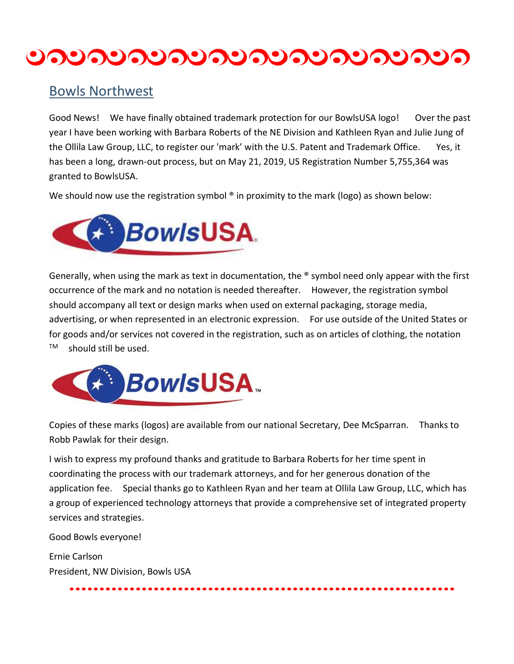# <u>ಲನಲನಲನಲನಲನಲನಲನಲನಲನಲ</u>

### Bowls Northwest

Good News! We have finally obtained trademark protection for our BowlsUSA logo! Over the past year I have been working with Barbara Roberts of the NE Division and Kathleen Ryan and Julie Jung of the Ollila Law Group, LLC, to register our 'mark' with the U.S. Patent and Trademark Office. Yes, it has been a long, drawn-out process, but on May 21, 2019, US Registration Number 5,755,364 was granted to BowlsUSA.

We should now use the registration symbol ® in proximity to the mark (logo) as shown below:



Generally, when using the mark as text in documentation, the ® symbol need only appear with the first occurrence of the mark and no notation is needed thereafter. However, the registration symbol should accompany all text or design marks when used on external packaging, storage media, advertising, or when represented in an electronic expression. For use outside of the United States or for goods and/or services not covered in the registration, such as on articles of clothing, the notation  $TM$  should still be used.



Copies of these marks (logos) are available from our national Secretary, Dee McSparran. Thanks to Robb Pawlak for their design.

I wish to express my profound thanks and gratitude to Barbara Roberts for her time spent in coordinating the process with our trademark attorneys, and for her generous donation of the application fee. Special thanks go to Kathleen Ryan and her team at Ollila Law Group, LLC, which has a group of experienced technology attorneys that provide a comprehensive set of integrated property services and strategies.

••••••••••••••••••••••••••••••••••••••••••••••••••••••••••••••••

Good Bowls everyone!

Ernie Carlson President, NW Division, Bowls USA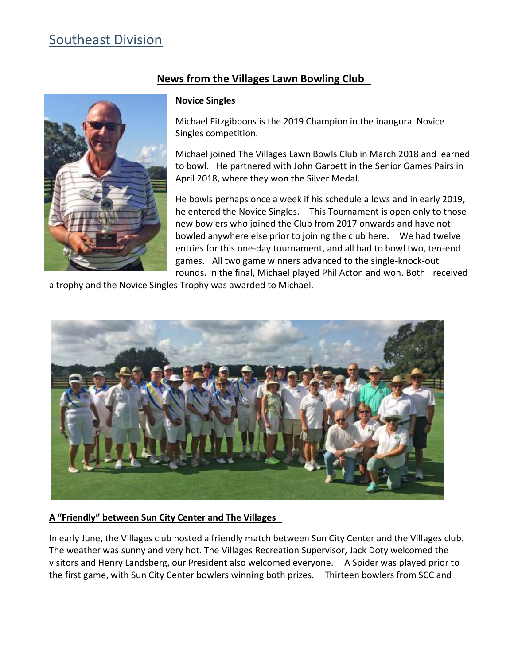# Southeast Division



### **News from the Villages Lawn Bowling Club**

#### **Novice Singles**

Michael Fitzgibbons is the 2019 Champion in the inaugural Novice Singles competition.

Michael joined The Villages Lawn Bowls Club in March 2018 and learned to bowl. He partnered with John Garbett in the Senior Games Pairs in April 2018, where they won the Silver Medal.

He bowls perhaps once a week if his schedule allows and in early 2019, he entered the Novice Singles. This Tournament is open only to those new bowlers who joined the Club from 2017 onwards and have not bowled anywhere else prior to joining the club here. We had twelve entries for this one-day tournament, and all had to bowl two, ten-end games. All two game winners advanced to the single-knock-out rounds. In the final, Michael played Phil Acton and won. Both received

a trophy and the Novice Singles Trophy was awarded to Michael.



#### **A "Friendly" between Sun City Center and The Villages**

In early June, the Villages club hosted a friendly match between Sun City Center and the Villages club. The weather was sunny and very hot. The Villages Recreation Supervisor, Jack Doty welcomed the visitors and Henry Landsberg, our President also welcomed everyone. A Spider was played prior to the first game, with Sun City Center bowlers winning both prizes. Thirteen bowlers from SCC and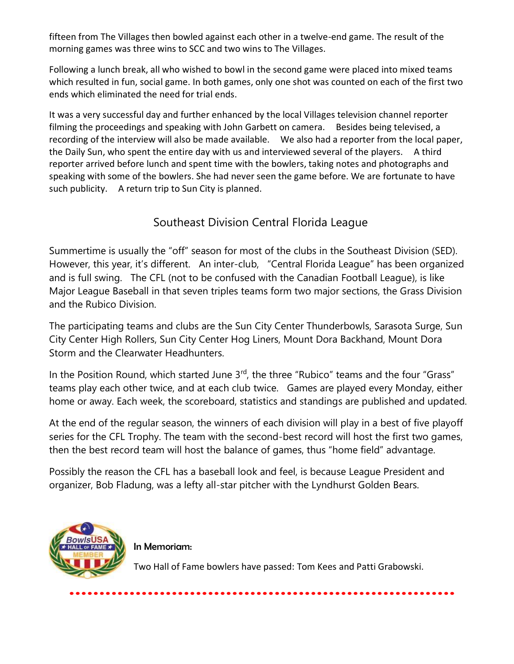fifteen from The Villages then bowled against each other in a twelve-end game. The result of the morning games was three wins to SCC and two wins to The Villages.

Following a lunch break, all who wished to bowl in the second game were placed into mixed teams which resulted in fun, social game. In both games, only one shot was counted on each of the first two ends which eliminated the need for trial ends.

It was a very successful day and further enhanced by the local Villages television channel reporter filming the proceedings and speaking with John Garbett on camera. Besides being televised, a recording of the interview will also be made available. We also had a reporter from the local paper, the Daily Sun, who spent the entire day with us and interviewed several of the players. A third reporter arrived before lunch and spent time with the bowlers, taking notes and photographs and speaking with some of the bowlers. She had never seen the game before. We are fortunate to have such publicity. A return trip to Sun City is planned.

### Southeast Division Central Florida League

Summertime is usually the "off" season for most of the clubs in the Southeast Division (SED). However, this year, it's different. An inter-club, "Central Florida League" has been organized and is full swing. The CFL (not to be confused with the Canadian Football League), is like Major League Baseball in that seven triples teams form two major sections, the Grass Division and the Rubico Division.

The participating teams and clubs are the Sun City Center Thunderbowls, Sarasota Surge, Sun City Center High Rollers, Sun City Center Hog Liners, Mount Dora Backhand, Mount Dora Storm and the Clearwater Headhunters.

In the Position Round, which started June  $3<sup>rd</sup>$ , the three "Rubico" teams and the four "Grass" teams play each other twice, and at each club twice. Games are played every Monday, either home or away. Each week, the scoreboard, statistics and standings are published and updated.

At the end of the regular season, the winners of each division will play in a best of five playoff series for the CFL Trophy. The team with the second-best record will host the first two games, then the best record team will host the balance of games, thus "home field" advantage.

Possibly the reason the CFL has a baseball look and feel, is because League President and organizer, Bob Fladung, was a lefty all-star pitcher with the Lyndhurst Golden Bears.



In Memoriam:

Two Hall of Fame bowlers have passed: Tom Kees and Patti Grabowski.

••••••••••••••••••••••••••••••••••••••••••••••••••••••••••••••••